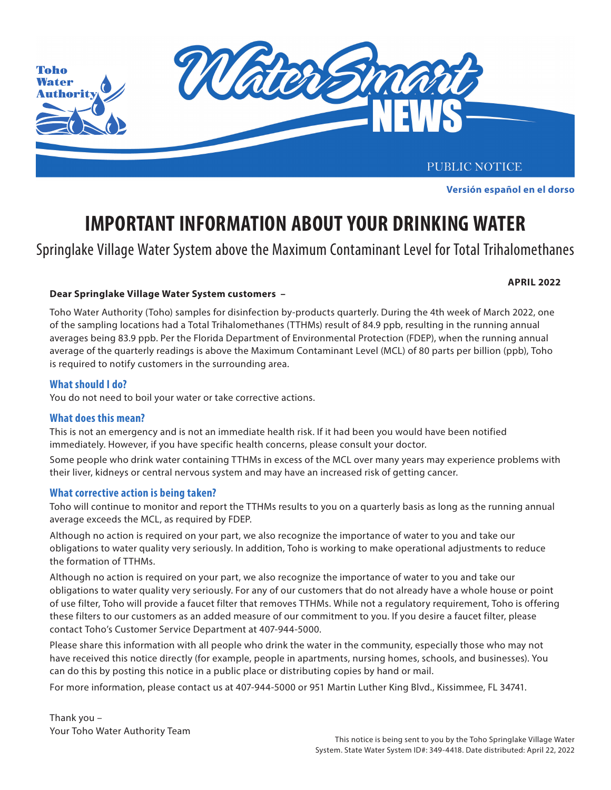

Este aviso público está disponible en español en **www.tohoprojects.com**. **Versión español en el dorso**

# **IMPORTANT INFORMATION ABOUT YOUR DRINKING WATER**

Springlake Village Water System above the Maximum Contaminant Level for Total Trihalomethanes

**APRIL 2022**

### Dear Springlake Village Water System customers *–* Dear Springlake water system in the disinfectant in your public water system in your public water system in your public water system in your public water system in your pu

from **chloramines** to **free chlorine** for routine maintenance of water quality in the distribution system. of the sampling locations had a Total Trihalomethanes (TTHMs) result of 84.9 ppb, resulting in the running annual averages being 83.9 ppb. Per the Florida Department of Environmental Protection (FDEP), when the running annual average of the quarterly readings is above the Maximum Contaminant Level (MCL) of 80 parts per billion (ppb), Toho is required to notify customers in the surrounding area.  $\frac{1}{\sqrt{2\pi}}$ Toho Water Authority (Toho) samples for disinfection by-products quarterly. During the 4th week of March 2022, one

#### the disinfection treatment process is returned to chloramines. **What should I do?**

You do not need to boil your water or take corrective actions.

## $$

This is not an emergency and is not an immediate health risk. If it had been you would have been notified immediately. However, if you have specific health concerns, please consult your doctor.

odor than chloramines. To reduce the chlorine taste and smell, run the faucet with cold water for two minutes. Run it for two minutes. Run it for two minutes with cold water for two minutes. Run it for two minutes. Run it Some people who drink water containing TTHMs in excess of the MCL over many years may experience problems with their liver, kidneys or central nervous system and may have an increased risk of getting cancer.

### **Discoloration is process you may also experience water and set of the process you may also experience water discoloration and**  $\mathbf{z}$

Toho will continue to monitor and report the TTHMs results to you on a quarterly basis as long as the running annual average exceeds the MCL, as required by FDEP. The avoid possible state state state state state state state state state state state state state state state state state state state state state state state state state state s

and to ward to washed to washed to wash clothes in the events of waters or on and take our and take our and take our part, we also recognize the importance of water to you and take our obligations to water quality very seriously. In addition, Toho is working to make operational adjustments to reduce the formation of TTHMs. The water treatment plants needs to be removed or neutralized from the water for use in dialysis  $\alpha$ 

Although no action is required on your part, we also recognize the importance of water to you and take our obligations to water quality very seriously. For any of our customers that do not already have a whole house or point of use filter, Toho will provide a faucet filter that removes TTHMs. While not a regulatory requirement, Toho is offering these filters to our customers as an added measure of our commitment to you. If you desire a faucet filter, please contact Toho's Customer Service Department at 407-944-5000.

Please share this information with all people who drink the water in the community, especially those who may not can do this by posting this notice in a public place or distributing copies by hand or mail. have received this notice directly (for example, people in apartments, nursing homes, schools, and businesses). You

ر بہ دست ہے۔<br>For more information, please contact us at 407-944-5000 or 951 Martin Luther King Blvd., Kissimmee, FL 34741.

Thank you – Your Toho Water Authority Team